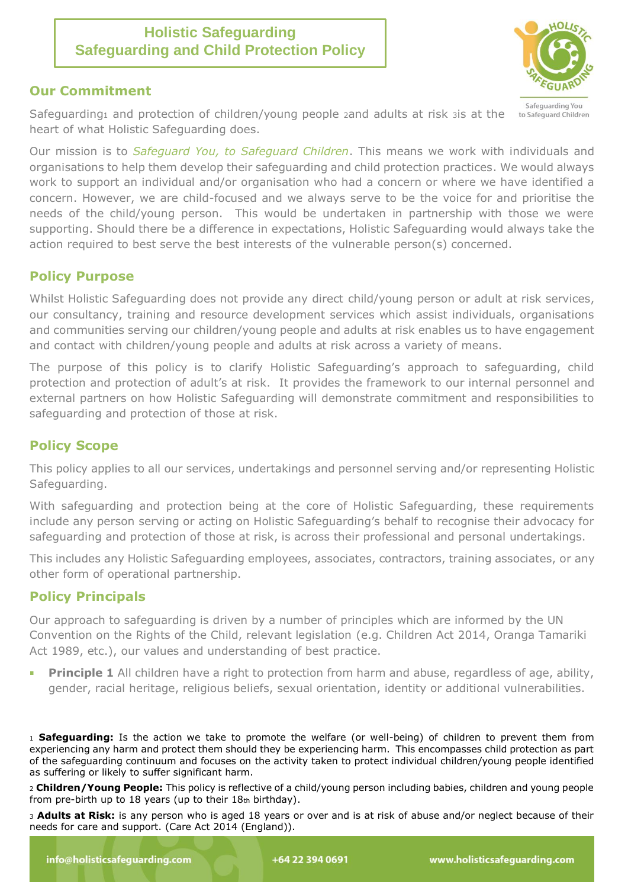# **Holistic Safeguarding Safeguarding and Child Protection Policy**

### **Our Commitment**

Safeguarding You to Safeguard Children

Safeguarding1 and protection of children/young people 2and adults at risk 3 is at the heart of what Holistic Safeguarding does.

Our mission is to *Safeguard You, to Safeguard Children*. This means we work with individuals and organisations to help them develop their safeguarding and child protection practices. We would always work to support an individual and/or organisation who had a concern or where we have identified a concern. However, we are child-focused and we always serve to be the voice for and prioritise the needs of the child/young person. This would be undertaken in partnership with those we were supporting. Should there be a difference in expectations, Holistic Safeguarding would always take the action required to best serve the best interests of the vulnerable person(s) concerned.

# **Policy Purpose**

Whilst Holistic Safeguarding does not provide any direct child/young person or adult at risk services, our consultancy, training and resource development services which assist individuals, organisations and communities serving our children/young people and adults at risk enables us to have engagement and contact with children/young people and adults at risk across a variety of means.

The purpose of this policy is to clarify Holistic Safeguarding's approach to safeguarding, child protection and protection of adult's at risk. It provides the framework to our internal personnel and external partners on how Holistic Safeguarding will demonstrate commitment and responsibilities to safeguarding and protection of those at risk.

# **Policy Scope**

This policy applies to all our services, undertakings and personnel serving and/or representing Holistic Safeguarding.

With safeguarding and protection being at the core of Holistic Safeguarding, these requirements include any person serving or acting on Holistic Safeguarding's behalf to recognise their advocacy for safeguarding and protection of those at risk, is across their professional and personal undertakings.

This includes any Holistic Safeguarding employees, associates, contractors, training associates, or any other form of operational partnership.

# **Policy Principals**

Our approach to safeguarding is driven by a number of principles which are informed by the UN Convention on the Rights of the Child, relevant legislation (e.g. Children Act 2014, Oranga Tamariki Act 1989, etc.), our values and understanding of best practice.

**Principle 1** All children have a right to protection from harm and abuse, regardless of age, ability, gender, racial heritage, religious beliefs, sexual orientation, identity or additional vulnerabilities.

<sup>1</sup> **Safeguarding:** Is the action we take to promote the welfare (or well-being) of children to prevent them from experiencing any harm and protect them should they be experiencing harm. This encompasses child protection as part of the safeguarding continuum and focuses on the activity taken to protect individual children/young people identified as suffering or likely to suffer significant harm.

<sup>2</sup> **Children/Young People:** This policy is reflective of a child/young person including babies, children and young people from pre-birth up to 18 years (up to their 18th birthday).

<sup>3</sup> **Adults at Risk:** is any person who is aged 18 years or over and is at risk of abuse and/or neglect because of their needs for care and support. (Care Act 2014 (England)).

+64 22 394 0691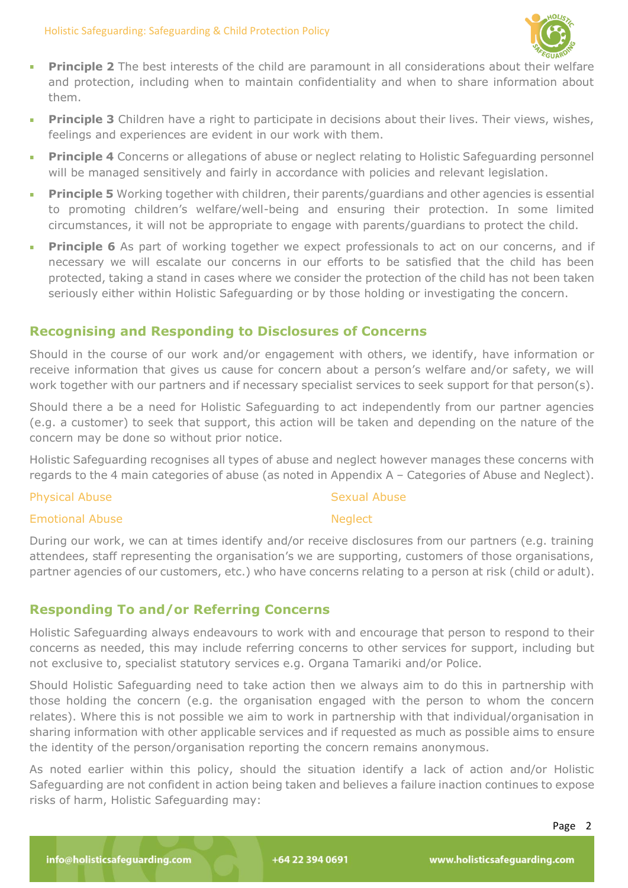

- **Principle 2** The best interests of the child are paramount in all considerations about their welfare à, and protection, including when to maintain confidentiality and when to share information about them.
- **Principle 3** Children have a right to participate in decisions about their lives. Their views, wishes, feelings and experiences are evident in our work with them.
- **Principle 4** Concerns or allegations of abuse or neglect relating to Holistic Safeguarding personnel will be managed sensitively and fairly in accordance with policies and relevant legislation.
- **Principle 5** Working together with children, their parents/guardians and other agencies is essential m. to promoting children's welfare/well-being and ensuring their protection. In some limited circumstances, it will not be appropriate to engage with parents/guardians to protect the child.
- **Principle 6** As part of working together we expect professionals to act on our concerns, and if necessary we will escalate our concerns in our efforts to be satisfied that the child has been protected, taking a stand in cases where we consider the protection of the child has not been taken seriously either within Holistic Safeguarding or by those holding or investigating the concern.

# **Recognising and Responding to Disclosures of Concerns**

Should in the course of our work and/or engagement with others, we identify, have information or receive information that gives us cause for concern about a person's welfare and/or safety, we will work together with our partners and if necessary specialist services to seek support for that person(s).

Should there a be a need for Holistic Safeguarding to act independently from our partner agencies (e.g. a customer) to seek that support, this action will be taken and depending on the nature of the concern may be done so without prior notice.

Holistic Safeguarding recognises all types of abuse and neglect however manages these concerns with regards to the 4 main categories of abuse (as noted in Appendix A – Categories of Abuse and Neglect).

#### Physical Abuse

### Sexual Abuse

**Neglect** 

#### Emotional Abuse

During our work, we can at times identify and/or receive disclosures from our partners (e.g. training attendees, staff representing the organisation's we are supporting, customers of those organisations, partner agencies of our customers, etc.) who have concerns relating to a person at risk (child or adult).

# **Responding To and/or Referring Concerns**

Holistic Safeguarding always endeavours to work with and encourage that person to respond to their concerns as needed, this may include referring concerns to other services for support, including but not exclusive to, specialist statutory services e.g. Organa Tamariki and/or Police.

Should Holistic Safeguarding need to take action then we always aim to do this in partnership with those holding the concern (e.g. the organisation engaged with the person to whom the concern relates). Where this is not possible we aim to work in partnership with that individual/organisation in sharing information with other applicable services and if requested as much as possible aims to ensure the identity of the person/organisation reporting the concern remains anonymous.

As noted earlier within this policy, should the situation identify a lack of action and/or Holistic Safeguarding are not confident in action being taken and believes a failure inaction continues to expose risks of harm, Holistic Safeguarding may: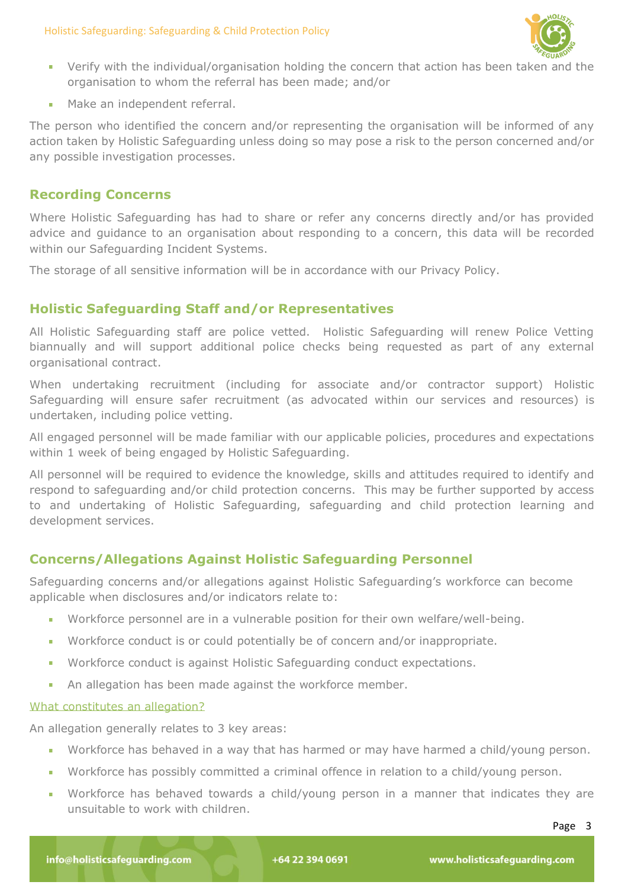

- Verify with the individual/organisation holding the concern that action has been taken and the organisation to whom the referral has been made; and/or
- **Make an independent referral.**

The person who identified the concern and/or representing the organisation will be informed of any action taken by Holistic Safeguarding unless doing so may pose a risk to the person concerned and/or any possible investigation processes.

### **Recording Concerns**

Where Holistic Safeguarding has had to share or refer any concerns directly and/or has provided advice and guidance to an organisation about responding to a concern, this data will be recorded within our Safeguarding Incident Systems.

The storage of all sensitive information will be in accordance with our Privacy Policy.

# **Holistic Safeguarding Staff and/or Representatives**

All Holistic Safeguarding staff are police vetted. Holistic Safeguarding will renew Police Vetting biannually and will support additional police checks being requested as part of any external organisational contract.

When undertaking recruitment (including for associate and/or contractor support) Holistic Safeguarding will ensure safer recruitment (as advocated within our services and resources) is undertaken, including police vetting.

All engaged personnel will be made familiar with our applicable policies, procedures and expectations within 1 week of being engaged by Holistic Safeguarding.

All personnel will be required to evidence the knowledge, skills and attitudes required to identify and respond to safeguarding and/or child protection concerns. This may be further supported by access to and undertaking of Holistic Safeguarding, safeguarding and child protection learning and development services.

# **Concerns/Allegations Against Holistic Safeguarding Personnel**

Safeguarding concerns and/or allegations against Holistic Safeguarding's workforce can become applicable when disclosures and/or indicators relate to:

- Workforce personnel are in a vulnerable position for their own welfare/well-being.
- Workforce conduct is or could potentially be of concern and/or inappropriate.  $\mathbf{r}$
- Workforce conduct is against Holistic Safeguarding conduct expectations.
- An allegation has been made against the workforce member.

### What constitutes an allegation?

An allegation generally relates to 3 key areas:

- Workforce has behaved in a way that has harmed or may have harmed a child/young person.
- Workforce has possibly committed a criminal offence in relation to a child/young person.
- Workforce has behaved towards a child/young person in a manner that indicates they are unsuitable to work with children.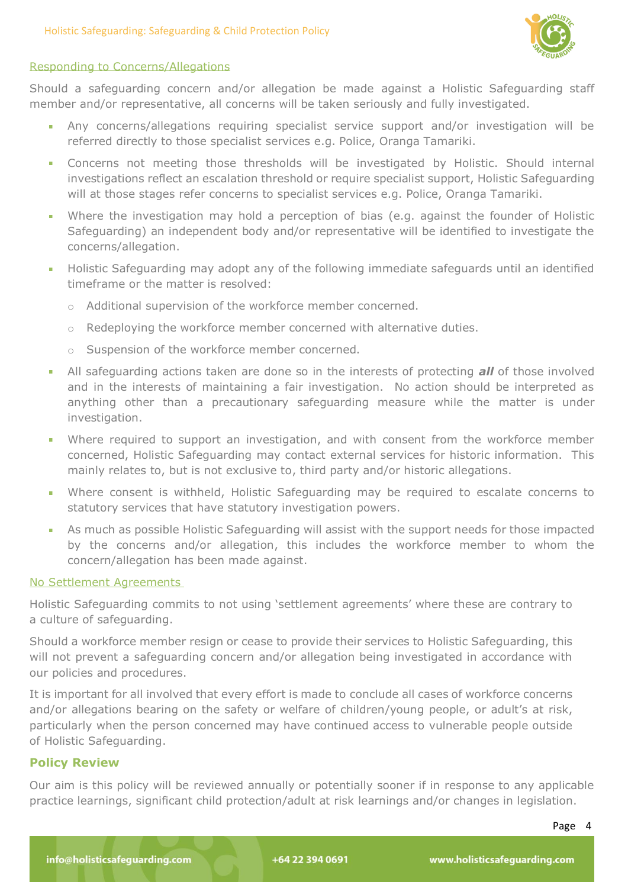

#### Responding to Concerns/Allegations

Should a safeguarding concern and/or allegation be made against a Holistic Safeguarding staff member and/or representative, all concerns will be taken seriously and fully investigated.

- Any concerns/allegations requiring specialist service support and/or investigation will be referred directly to those specialist services e.g. Police, Oranga Tamariki.
- Concerns not meeting those thresholds will be investigated by Holistic. Should internal investigations reflect an escalation threshold or require specialist support, Holistic Safeguarding will at those stages refer concerns to specialist services e.g. Police, Oranga Tamariki.
- Where the investigation may hold a perception of bias (e.g. against the founder of Holistic Safeguarding) an independent body and/or representative will be identified to investigate the concerns/allegation.
- $\mathbf{r}$ Holistic Safeguarding may adopt any of the following immediate safeguards until an identified timeframe or the matter is resolved:
	- o Additional supervision of the workforce member concerned.
	- $\circ$  Redeploying the workforce member concerned with alternative duties.
	- o Suspension of the workforce member concerned.
- All safeguarding actions taken are done so in the interests of protecting *all* of those involved and in the interests of maintaining a fair investigation. No action should be interpreted as anything other than a precautionary safeguarding measure while the matter is under investigation.
- Where required to support an investigation, and with consent from the workforce member m. concerned, Holistic Safeguarding may contact external services for historic information. This mainly relates to, but is not exclusive to, third party and/or historic allegations.
- Where consent is withheld, Holistic Safeguarding may be required to escalate concerns to  $\mathbf{r}$ statutory services that have statutory investigation powers.
- As much as possible Holistic Safeguarding will assist with the support needs for those impacted by the concerns and/or allegation, this includes the workforce member to whom the concern/allegation has been made against.

#### No Settlement Agreements

Holistic Safeguarding commits to not using 'settlement agreements' where these are contrary to a culture of safeguarding.

Should a workforce member resign or cease to provide their services to Holistic Safeguarding, this will not prevent a safeguarding concern and/or allegation being investigated in accordance with our policies and procedures.

It is important for all involved that every effort is made to conclude all cases of workforce concerns and/or allegations bearing on the safety or welfare of children/young people, or adult's at risk, particularly when the person concerned may have continued access to vulnerable people outside of Holistic Safeguarding.

### **Policy Review**

Our aim is this policy will be reviewed annually or potentially sooner if in response to any applicable practice learnings, significant child protection/adult at risk learnings and/or changes in legislation.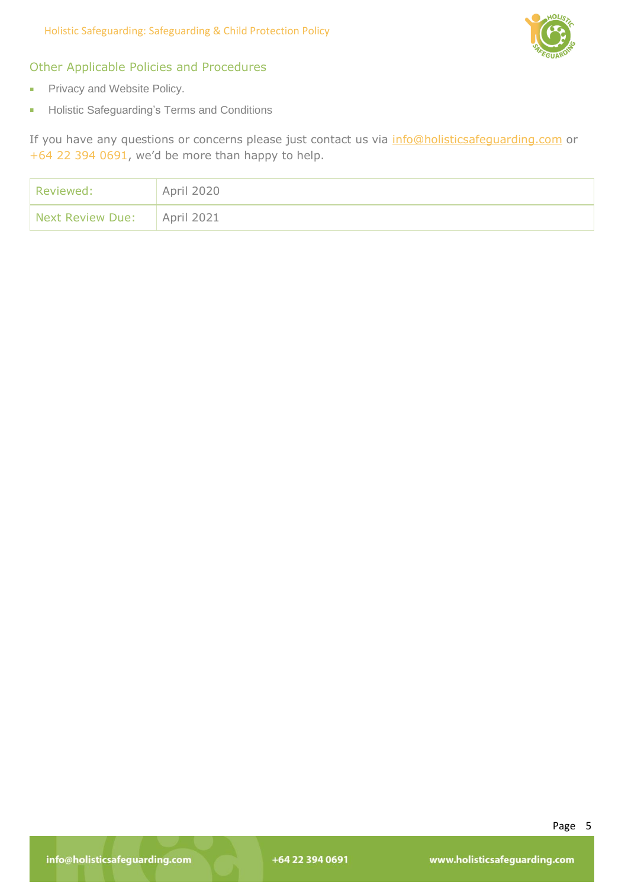

# Other Applicable Policies and Procedures

- Privacy and Website Policy.  $\bar{\phantom{a}}$
- Holistic Safeguarding's Terms and Conditions i.

If you have any questions or concerns please just contact us via [info@holisticsafeguarding.com](mailto:info@holisticsafeguarding.com) or +64 22 394 0691, we'd be more than happy to help.

| Reviewed:                     | April 2020 |
|-------------------------------|------------|
| Next Review Due:   April 2021 |            |